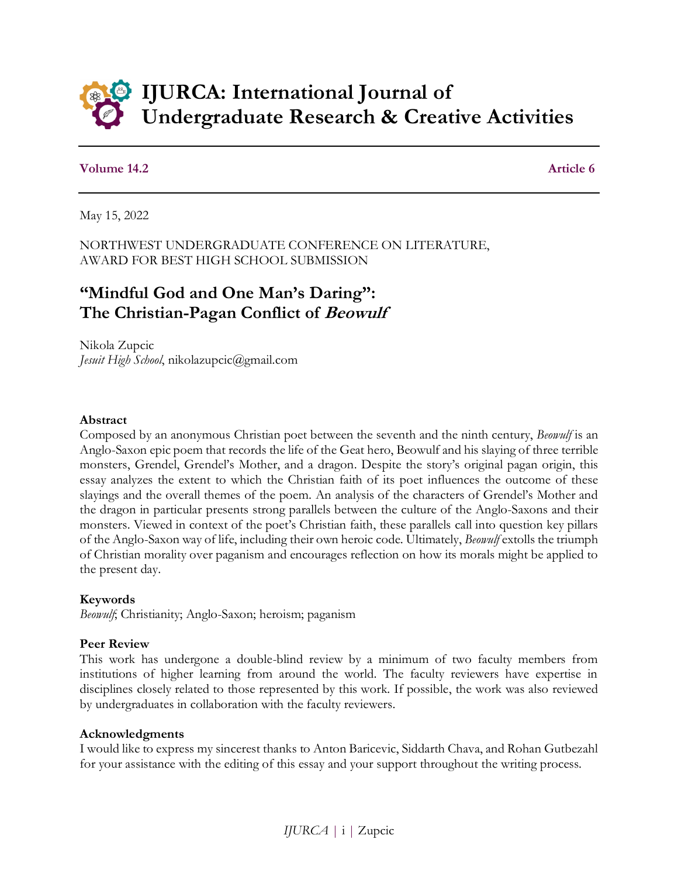

## **Volume 14.2** Article 6

May 15, 2022

NORTHWEST UNDERGRADUATE CONFERENCE ON LITERATURE, AWARD FOR BEST HIGH SCHOOL SUBMISSION

# **"Mindful God and One Man's Daring": The Christian-Pagan Conflict of Beowulf**

Nikola Zupcic *Jesuit High School*, nikolazupcic@gmail.com

## **Abstract**

Composed by an anonymous Christian poet between the seventh and the ninth century, *Beowulf* is an Anglo-Saxon epic poem that records the life of the Geat hero, Beowulf and his slaying of three terrible monsters, Grendel, Grendel's Mother, and a dragon. Despite the story's original pagan origin, this essay analyzes the extent to which the Christian faith of its poet influences the outcome of these slayings and the overall themes of the poem. An analysis of the characters of Grendel's Mother and the dragon in particular presents strong parallels between the culture of the Anglo-Saxons and their monsters. Viewed in context of the poet's Christian faith, these parallels call into question key pillars of the Anglo-Saxon way of life, including their own heroic code. Ultimately, *Beowulf* extolls the triumph of Christian morality over paganism and encourages reflection on how its morals might be applied to the present day.

## **Keywords**

*Beowulf*; Christianity; Anglo-Saxon; heroism; paganism

## **Peer Review**

This work has undergone a double-blind review by a minimum of two faculty members from institutions of higher learning from around the world. The faculty reviewers have expertise in disciplines closely related to those represented by this work. If possible, the work was also reviewed by undergraduates in collaboration with the faculty reviewers.

## **Acknowledgments**

I would like to express my sincerest thanks to Anton Baricevic, Siddarth Chava, and Rohan Gutbezahl for your assistance with the editing of this essay and your support throughout the writing process.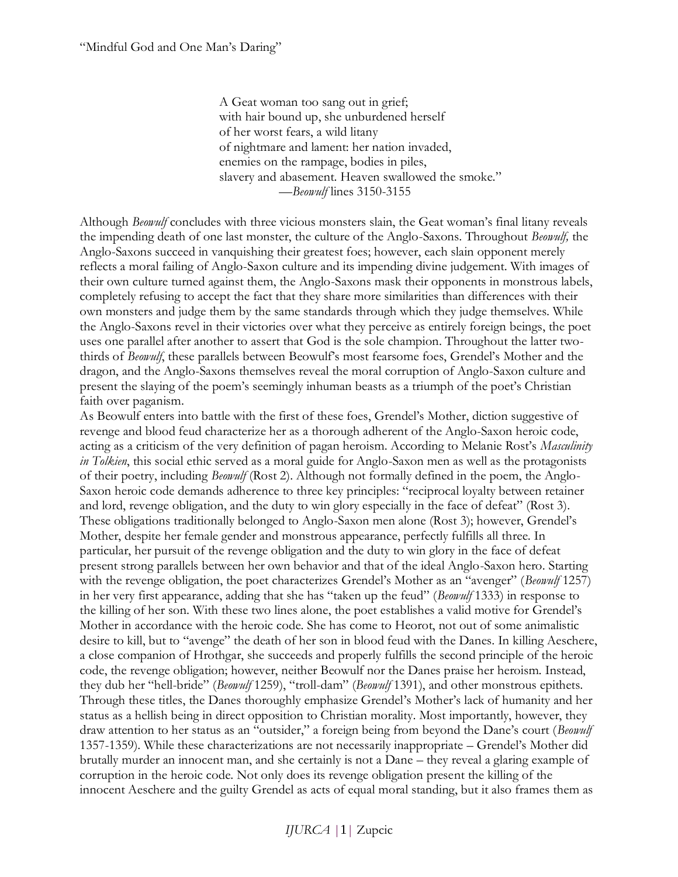A Geat woman too sang out in grief; with hair bound up, she unburdened herself of her worst fears, a wild litany of nightmare and lament: her nation invaded, enemies on the rampage, bodies in piles, slavery and abasement. Heaven swallowed the smoke." *—Beowulf* lines 3150-3155

Although *Beowulf* concludes with three vicious monsters slain, the Geat woman's final litany reveals the impending death of one last monster, the culture of the Anglo-Saxons. Throughout *Beowulf,* the Anglo-Saxons succeed in vanquishing their greatest foes; however, each slain opponent merely reflects a moral failing of Anglo-Saxon culture and its impending divine judgement. With images of their own culture turned against them, the Anglo-Saxons mask their opponents in monstrous labels, completely refusing to accept the fact that they share more similarities than differences with their own monsters and judge them by the same standards through which they judge themselves. While the Anglo-Saxons revel in their victories over what they perceive as entirely foreign beings, the poet uses one parallel after another to assert that God is the sole champion. Throughout the latter twothirds of *Beowulf*, these parallels between Beowulf's most fearsome foes, Grendel's Mother and the dragon, and the Anglo-Saxons themselves reveal the moral corruption of Anglo-Saxon culture and present the slaying of the poem's seemingly inhuman beasts as a triumph of the poet's Christian faith over paganism.

As Beowulf enters into battle with the first of these foes, Grendel's Mother, diction suggestive of revenge and blood feud characterize her as a thorough adherent of the Anglo-Saxon heroic code, acting as a criticism of the very definition of pagan heroism. According to Melanie Rost's *Masculinity in Tolkien*, this social ethic served as a moral guide for Anglo-Saxon men as well as the protagonists of their poetry, including *Beowulf* (Rost 2). Although not formally defined in the poem, the Anglo-Saxon heroic code demands adherence to three key principles: "reciprocal loyalty between retainer and lord, revenge obligation, and the duty to win glory especially in the face of defeat" (Rost 3). These obligations traditionally belonged to Anglo-Saxon men alone (Rost 3); however, Grendel's Mother, despite her female gender and monstrous appearance, perfectly fulfills all three. In particular, her pursuit of the revenge obligation and the duty to win glory in the face of defeat present strong parallels between her own behavior and that of the ideal Anglo-Saxon hero. Starting with the revenge obligation, the poet characterizes Grendel's Mother as an "avenger" (*Beowulf* 1257) in her very first appearance, adding that she has "taken up the feud" (*Beowulf* 1333) in response to the killing of her son. With these two lines alone, the poet establishes a valid motive for Grendel's Mother in accordance with the heroic code. She has come to Heorot, not out of some animalistic desire to kill, but to "avenge" the death of her son in blood feud with the Danes. In killing Aeschere, a close companion of Hrothgar, she succeeds and properly fulfills the second principle of the heroic code, the revenge obligation; however, neither Beowulf nor the Danes praise her heroism. Instead, they dub her "hell-bride" (*Beowulf* 1259), "troll-dam" (*Beowulf* 1391), and other monstrous epithets. Through these titles, the Danes thoroughly emphasize Grendel's Mother's lack of humanity and her status as a hellish being in direct opposition to Christian morality. Most importantly, however, they draw attention to her status as an "outsider," a foreign being from beyond the Dane's court (*Beowulf*  1357-1359). While these characterizations are not necessarily inappropriate – Grendel's Mother did brutally murder an innocent man, and she certainly is not a Dane – they reveal a glaring example of corruption in the heroic code. Not only does its revenge obligation present the killing of the innocent Aeschere and the guilty Grendel as acts of equal moral standing, but it also frames them as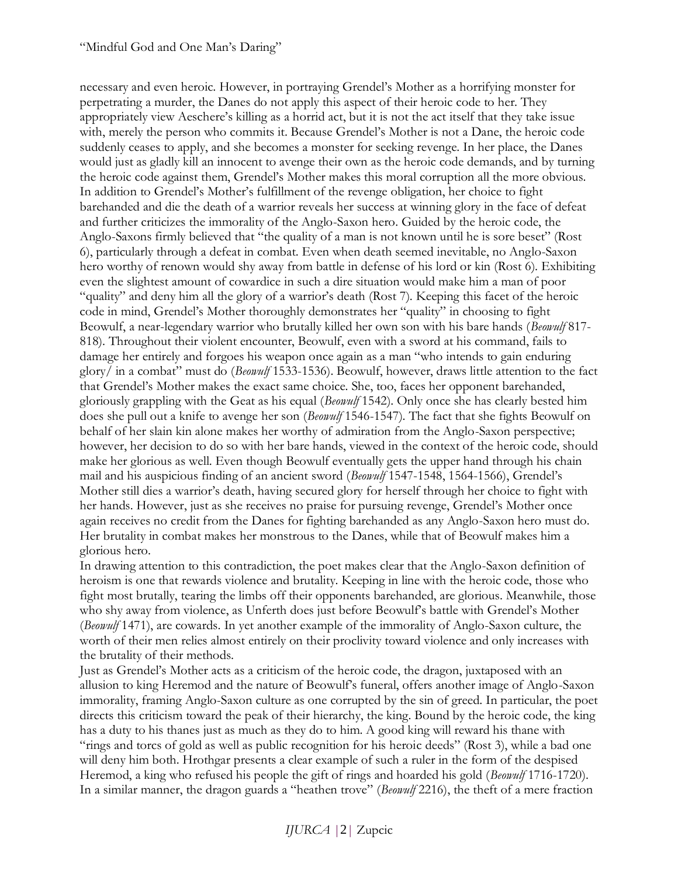necessary and even heroic. However, in portraying Grendel's Mother as a horrifying monster for perpetrating a murder, the Danes do not apply this aspect of their heroic code to her. They appropriately view Aeschere's killing as a horrid act, but it is not the act itself that they take issue with, merely the person who commits it. Because Grendel's Mother is not a Dane, the heroic code suddenly ceases to apply, and she becomes a monster for seeking revenge. In her place, the Danes would just as gladly kill an innocent to avenge their own as the heroic code demands, and by turning the heroic code against them, Grendel's Mother makes this moral corruption all the more obvious. In addition to Grendel's Mother's fulfillment of the revenge obligation, her choice to fight barehanded and die the death of a warrior reveals her success at winning glory in the face of defeat and further criticizes the immorality of the Anglo-Saxon hero. Guided by the heroic code, the Anglo-Saxons firmly believed that "the quality of a man is not known until he is sore beset" (Rost 6), particularly through a defeat in combat. Even when death seemed inevitable, no Anglo-Saxon hero worthy of renown would shy away from battle in defense of his lord or kin (Rost 6). Exhibiting even the slightest amount of cowardice in such a dire situation would make him a man of poor "quality" and deny him all the glory of a warrior's death (Rost 7). Keeping this facet of the heroic code in mind, Grendel's Mother thoroughly demonstrates her "quality" in choosing to fight Beowulf, a near-legendary warrior who brutally killed her own son with his bare hands (*Beowulf* 817- 818). Throughout their violent encounter, Beowulf, even with a sword at his command, fails to damage her entirely and forgoes his weapon once again as a man "who intends to gain enduring glory/ in a combat" must do (*Beowulf* 1533-1536). Beowulf, however, draws little attention to the fact that Grendel's Mother makes the exact same choice. She, too, faces her opponent barehanded, gloriously grappling with the Geat as his equal (*Beowulf* 1542). Only once she has clearly bested him does she pull out a knife to avenge her son (*Beowulf* 1546-1547). The fact that she fights Beowulf on behalf of her slain kin alone makes her worthy of admiration from the Anglo-Saxon perspective; however, her decision to do so with her bare hands, viewed in the context of the heroic code, should make her glorious as well. Even though Beowulf eventually gets the upper hand through his chain mail and his auspicious finding of an ancient sword (*Beowulf* 1547-1548, 1564-1566), Grendel's Mother still dies a warrior's death, having secured glory for herself through her choice to fight with her hands. However, just as she receives no praise for pursuing revenge, Grendel's Mother once again receives no credit from the Danes for fighting barehanded as any Anglo-Saxon hero must do. Her brutality in combat makes her monstrous to the Danes, while that of Beowulf makes him a glorious hero.

In drawing attention to this contradiction, the poet makes clear that the Anglo-Saxon definition of heroism is one that rewards violence and brutality. Keeping in line with the heroic code, those who fight most brutally, tearing the limbs off their opponents barehanded, are glorious. Meanwhile, those who shy away from violence, as Unferth does just before Beowulf's battle with Grendel's Mother (*Beowulf* 1471), are cowards. In yet another example of the immorality of Anglo-Saxon culture, the worth of their men relies almost entirely on their proclivity toward violence and only increases with the brutality of their methods.

Just as Grendel's Mother acts as a criticism of the heroic code, the dragon, juxtaposed with an allusion to king Heremod and the nature of Beowulf's funeral, offers another image of Anglo-Saxon immorality, framing Anglo-Saxon culture as one corrupted by the sin of greed. In particular, the poet directs this criticism toward the peak of their hierarchy, the king. Bound by the heroic code, the king has a duty to his thanes just as much as they do to him. A good king will reward his thane with "rings and torcs of gold as well as public recognition for his heroic deeds" (Rost 3), while a bad one will deny him both. Hrothgar presents a clear example of such a ruler in the form of the despised Heremod, a king who refused his people the gift of rings and hoarded his gold (*Beowulf* 1716-1720). In a similar manner, the dragon guards a "heathen trove" (*Beowulf* 2216), the theft of a mere fraction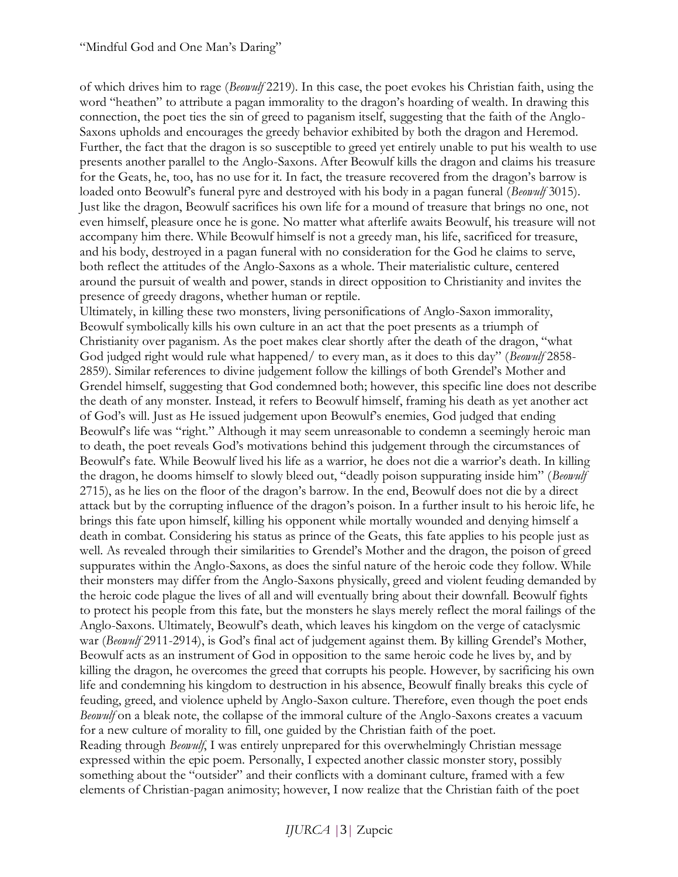of which drives him to rage (*Beowulf* 2219). In this case, the poet evokes his Christian faith, using the word "heathen" to attribute a pagan immorality to the dragon's hoarding of wealth. In drawing this connection, the poet ties the sin of greed to paganism itself, suggesting that the faith of the Anglo-Saxons upholds and encourages the greedy behavior exhibited by both the dragon and Heremod. Further, the fact that the dragon is so susceptible to greed yet entirely unable to put his wealth to use presents another parallel to the Anglo-Saxons. After Beowulf kills the dragon and claims his treasure for the Geats, he, too, has no use for it. In fact, the treasure recovered from the dragon's barrow is loaded onto Beowulf's funeral pyre and destroyed with his body in a pagan funeral (*Beowulf* 3015). Just like the dragon, Beowulf sacrifices his own life for a mound of treasure that brings no one, not even himself, pleasure once he is gone. No matter what afterlife awaits Beowulf, his treasure will not accompany him there. While Beowulf himself is not a greedy man, his life, sacrificed for treasure, and his body, destroyed in a pagan funeral with no consideration for the God he claims to serve, both reflect the attitudes of the Anglo-Saxons as a whole. Their materialistic culture, centered around the pursuit of wealth and power, stands in direct opposition to Christianity and invites the presence of greedy dragons, whether human or reptile.

Ultimately, in killing these two monsters, living personifications of Anglo-Saxon immorality, Beowulf symbolically kills his own culture in an act that the poet presents as a triumph of Christianity over paganism. As the poet makes clear shortly after the death of the dragon, "what God judged right would rule what happened/ to every man, as it does to this day" (*Beowulf* 2858- 2859). Similar references to divine judgement follow the killings of both Grendel's Mother and Grendel himself, suggesting that God condemned both; however, this specific line does not describe the death of any monster. Instead, it refers to Beowulf himself, framing his death as yet another act of God's will. Just as He issued judgement upon Beowulf's enemies, God judged that ending Beowulf's life was "right." Although it may seem unreasonable to condemn a seemingly heroic man to death, the poet reveals God's motivations behind this judgement through the circumstances of Beowulf's fate. While Beowulf lived his life as a warrior, he does not die a warrior's death. In killing the dragon, he dooms himself to slowly bleed out, "deadly poison suppurating inside him" (*Beowulf*  2715), as he lies on the floor of the dragon's barrow. In the end, Beowulf does not die by a direct attack but by the corrupting influence of the dragon's poison. In a further insult to his heroic life, he brings this fate upon himself, killing his opponent while mortally wounded and denying himself a death in combat. Considering his status as prince of the Geats, this fate applies to his people just as well. As revealed through their similarities to Grendel's Mother and the dragon, the poison of greed suppurates within the Anglo-Saxons, as does the sinful nature of the heroic code they follow. While their monsters may differ from the Anglo-Saxons physically, greed and violent feuding demanded by the heroic code plague the lives of all and will eventually bring about their downfall. Beowulf fights to protect his people from this fate, but the monsters he slays merely reflect the moral failings of the Anglo-Saxons. Ultimately, Beowulf's death, which leaves his kingdom on the verge of cataclysmic war (*Beowulf* 2911-2914), is God's final act of judgement against them. By killing Grendel's Mother, Beowulf acts as an instrument of God in opposition to the same heroic code he lives by, and by killing the dragon, he overcomes the greed that corrupts his people. However, by sacrificing his own life and condemning his kingdom to destruction in his absence, Beowulf finally breaks this cycle of feuding, greed, and violence upheld by Anglo-Saxon culture. Therefore, even though the poet ends *Beowulf* on a bleak note, the collapse of the immoral culture of the Anglo-Saxons creates a vacuum for a new culture of morality to fill, one guided by the Christian faith of the poet. Reading through *Beowulf*, I was entirely unprepared for this overwhelmingly Christian message expressed within the epic poem. Personally, I expected another classic monster story, possibly something about the "outsider" and their conflicts with a dominant culture, framed with a few elements of Christian-pagan animosity; however, I now realize that the Christian faith of the poet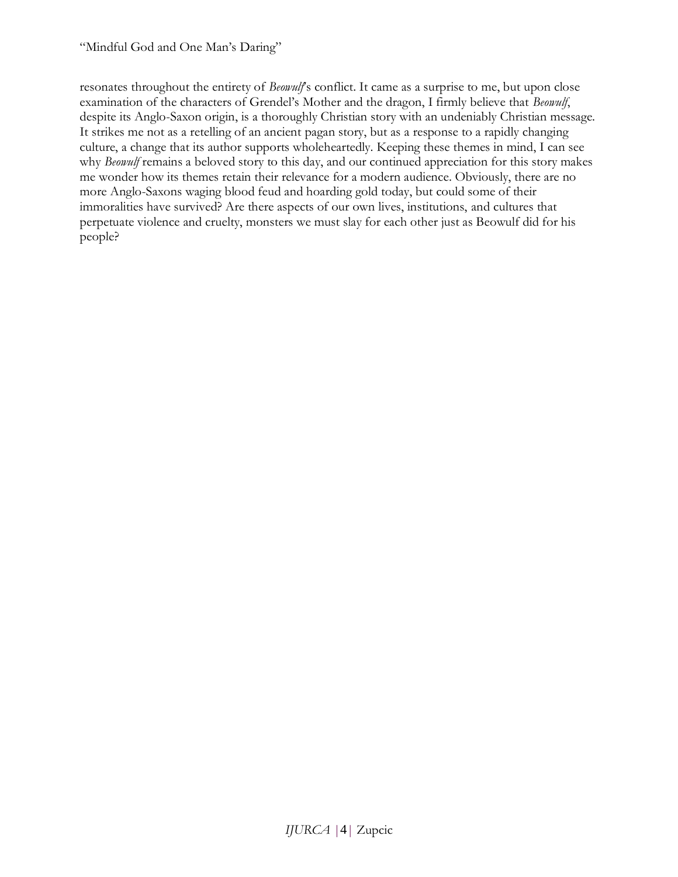resonates throughout the entirety of *Beowulf*'s conflict. It came as a surprise to me, but upon close examination of the characters of Grendel's Mother and the dragon, I firmly believe that *Beowulf*, despite its Anglo-Saxon origin, is a thoroughly Christian story with an undeniably Christian message. It strikes me not as a retelling of an ancient pagan story, but as a response to a rapidly changing culture, a change that its author supports wholeheartedly. Keeping these themes in mind, I can see why *Beowulf* remains a beloved story to this day, and our continued appreciation for this story makes me wonder how its themes retain their relevance for a modern audience. Obviously, there are no more Anglo-Saxons waging blood feud and hoarding gold today, but could some of their immoralities have survived? Are there aspects of our own lives, institutions, and cultures that perpetuate violence and cruelty, monsters we must slay for each other just as Beowulf did for his people?